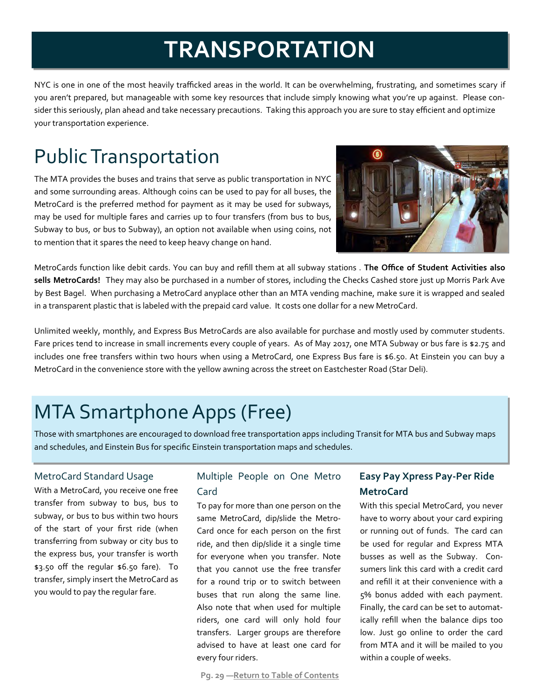# **TRANSPORTATION**

NYC is one in one of the most heavily trafficked areas in the world. It can be overwhelming, frustrating, and sometimes scary if you aren't prepared, but manageable with some key resources that include simply knowing what you're up against. Please consider this seriously, plan ahead and take necessary precautions. Taking this approach you are sure to stay efficient and optimize your transportation experience.

## Public Transportation

The MTA provides the buses and trains that serve as public transportation in NYC and some surrounding areas. Although coins can be used to pay for all buses, the MetroCard is the preferred method for payment as it may be used for subways, may be used for multiple fares and carries up to four transfers (from bus to bus, Subway to bus, or bus to Subway), an option not available when using coins, not to mention that it spares the need to keep heavy change on hand.



MetroCards function like debit cards. You can buy and refill them at all subway stations . **The Office of Student Activities also sells MetroCards!** They may also be purchased in a number of stores, including the Checks Cashed store just up Morris Park Ave by Best Bagel. When purchasing a MetroCard anyplace other than an MTA vending machine, make sure it is wrapped and sealed in a transparent plastic that is labeled with the prepaid card value. It costs one dollar for a new MetroCard.

Unlimited weekly, monthly, and Express Bus MetroCards are also available for purchase and mostly used by commuter students. Fare prices tend to increase in small increments every couple of years. As of May 2017, one MTA Subway or bus fare is \$2.75 and includes one free transfers within two hours when using a MetroCard, one Express Bus fare is \$6.50. At Einstein you can buy a MetroCard in the convenience store with the yellow awning across the street on Eastchester Road (Star Deli).

### MTA Smartphone Apps (Free)

Those with smartphones are encouraged to download free transportation apps including Transit for MTA bus and Subway maps and schedules, and Einstein Bus for specific Einstein transportation maps and schedules.

#### MetroCard Standard Usage

With a MetroCard, you receive one free transfer from subway to bus, bus to subway, or bus to bus within two hours of the start of your first ride (when transferring from subway or city bus to the express bus, your transfer is worth \$3.50 off the regular \$6.50 fare). To transfer, simply insert the MetroCard as you would to pay the regular fare.

### Multiple People on One Metro Card

To pay for more than one person on the same MetroCard, dip/slide the Metro-Card once for each person on the first ride, and then dip/slide it a single time for everyone when you transfer. Note that you cannot use the free transfer for a round trip or to switch between buses that run along the same line. Also note that when used for multiple riders, one card will only hold four transfers. Larger groups are therefore advised to have at least one card for every four riders.

#### **Pg. ͚͡ —Return to Table of Contents**

### **Easy Pay Xpress Pay-Per Ride MetroCard**

With this special MetroCard, you never have to worry about your card expiring or running out of funds. The card can be used for regular and Express MTA busses as well as the Subway. Consumers link this card with a credit card and refill it at their convenience with a ͝% bonus added with each payment. Finally, the card can be set to automatically refill when the balance dips too low. Just go online to order the card from MTA and it will be mailed to you within a couple of weeks.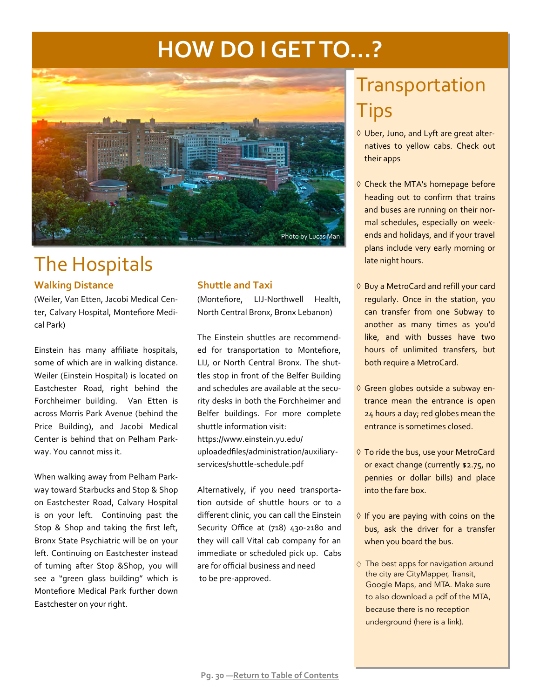# **HOW DO I GET TO…?**



### The Hospitals

#### **Walking Distance**

ȋWeiler, Van Etten, Jacobi Medical Center, Calvary Hospital, Montefiore Medical Park)

Einstein has many affiliate hospitals, some of which are in walking distance. Weiler (Einstein Hospital) is located on Eastchester Road, right behind the Forchheimer building. Van Etten is across Morris Park Avenue (behind the Price Building), and Jacobi Medical Center is behind that on Pelham Parkway. You cannot miss it.

When walking away from Pelham Parkway toward Starbucks and Stop & Shop on Eastchester Road, Calvary Hospital is on your left. Continuing past the Stop & Shop and taking the first left, Bronx State Psychiatric will be on your left. Continuing on Eastchester instead of turning after Stop &Shop, you will see a "green glass building" which is Montefiore Medical Park further down Eastchester on your right.

#### **Shuttle and Taxi**

ȋMontefiore, LIJ-Northwell Health, North Central Bronx, Bronx Lebanon)

The Einstein shuttles are recommended for transportation to Montefiore, LIJ, or North Central Bronx. The shuttles stop in front of the Belfer Building and schedules are available at the security desks in both the Forchheimer and Belfer buildings. For more complete shuttle information visit: https://www.einstein.yu.edu/ uploadedfiles/administration/auxiliaryservices/shuttle-schedule.pdf

Alternatively, if you need transportation outside of shuttle hours or to a different clinic, you can call the Einstein Security Office at (718) 430-2180 and they will call Vital cab company for an immediate or scheduled pick up. Cabs are for official business and need to be pre-approved.

### Transportation **Tips**

- Uber, Juno, and Lyft are great alternatives to yellow cabs. Check out their apps
- $\Diamond$  Check the MTA's homepage before heading out to confirm that trains and buses are running on their normal schedules, especially on weekends and holidays, and if your travel plans include very early morning or late night hours.
- ♦ Buy a MetroCard and refill your card regularly. Once in the station, you can transfer from one Subway to another as many times as you'd like, and with busses have two hours of unlimited transfers, but both require a MetroCard.
- Green globes outside a subway entrance mean the entrance is open 24 hours a day; red globes mean the entrance is sometimes closed.
- To ride the bus, use your MetroCard or exact change (currently \$2.75, no pennies or dollar bills) and place into the fare box.
- $\Diamond$  If you are paying with coins on the bus, ask the driver for a transfer when you board the bus.
- ♢ The best apps for navigation around the city are CityMapper, Transit, Google Maps, and MTA. Make sure to also download a pdf of the MTA, because there is no reception underground [\(here is](http://web.mta.info/nyct/maps/subwaymap.pdf) a link).